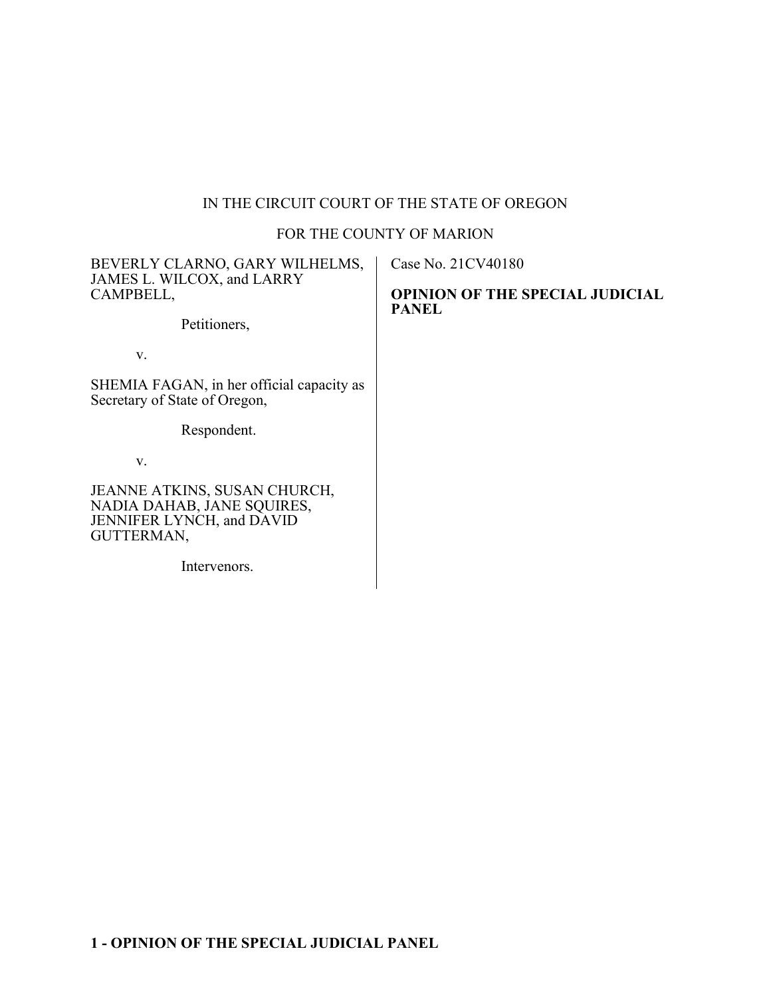# IN THE CIRCUIT COURT OF THE STATE OF OREGON

## FOR THE COUNTY OF MARION

| BEVERLY CLARNO, GARY WILHELMS,<br>JAMES L. WILCOX, and LARRY<br>CAMPBELL,                             | Case No. 21CV40180<br><b>OPINION OF THE SPECIAL JUDICIAL</b><br><b>PANEL</b> |
|-------------------------------------------------------------------------------------------------------|------------------------------------------------------------------------------|
| Petitioners,                                                                                          |                                                                              |
| V.                                                                                                    |                                                                              |
| SHEMIA FAGAN, in her official capacity as<br>Secretary of State of Oregon,                            |                                                                              |
| Respondent.                                                                                           |                                                                              |
| V.                                                                                                    |                                                                              |
| JEANNE ATKINS, SUSAN CHURCH,<br>NADIA DAHAB, JANE SQUIRES,<br>JENNIFER LYNCH, and DAVID<br>GUTTERMAN, |                                                                              |
| Intervenors.                                                                                          |                                                                              |
|                                                                                                       |                                                                              |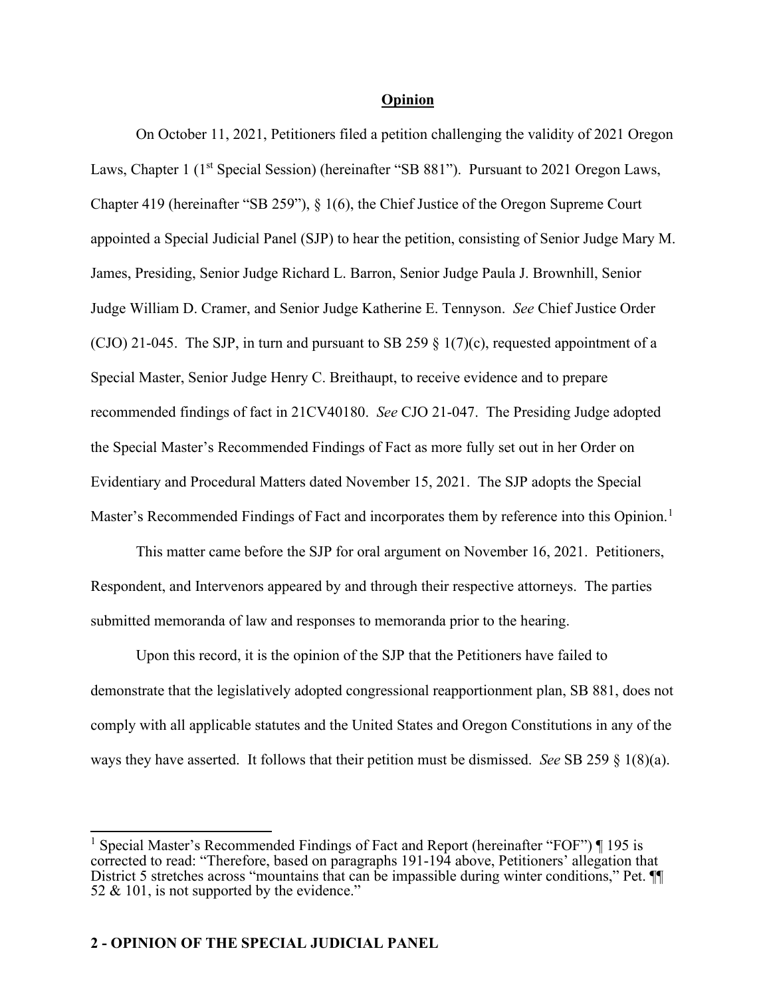#### **Opinion**

On October 11, 2021, Petitioners filed a petition challenging the validity of 2021 Oregon Laws, Chapter 1 (1<sup>st</sup> Special Session) (hereinafter "SB 881"). Pursuant to 2021 Oregon Laws, Chapter 419 (hereinafter "SB 259"), § 1(6), the Chief Justice of the Oregon Supreme Court appointed a Special Judicial Panel (SJP) to hear the petition, consisting of Senior Judge Mary M. James, Presiding, Senior Judge Richard L. Barron, Senior Judge Paula J. Brownhill, Senior Judge William D. Cramer, and Senior Judge Katherine E. Tennyson. *See* Chief Justice Order (CJO) 21-045. The SJP, in turn and pursuant to SB 259  $\S$  1(7)(c), requested appointment of a Special Master, Senior Judge Henry C. Breithaupt, to receive evidence and to prepare recommended findings of fact in 21CV40180. *See* CJO 21-047. The Presiding Judge adopted the Special Master's Recommended Findings of Fact as more fully set out in her Order on Evidentiary and Procedural Matters dated November 15, 2021. The SJP adopts the Special Master's Recommended Findings of Fact and incorporates them by reference into this Opinion.<sup>[1](#page-1-0)</sup>

This matter came before the SJP for oral argument on November 16, 2021. Petitioners, Respondent, and Intervenors appeared by and through their respective attorneys. The parties submitted memoranda of law and responses to memoranda prior to the hearing.

Upon this record, it is the opinion of the SJP that the Petitioners have failed to demonstrate that the legislatively adopted congressional reapportionment plan, SB 881, does not comply with all applicable statutes and the United States and Oregon Constitutions in any of the ways they have asserted. It follows that their petition must be dismissed. *See* SB 259 § 1(8)(a).

<span id="page-1-0"></span><sup>&</sup>lt;sup>1</sup> Special Master's Recommended Findings of Fact and Report (hereinafter "FOF")  $\P$  195 is corrected to read: "Therefore, based on paragraphs 191-194 above, Petitioners' allegation that District 5 stretches across "mountains that can be impassible during winter conditions," Pet.  $\P$ 52 & 101, is not supported by the evidence."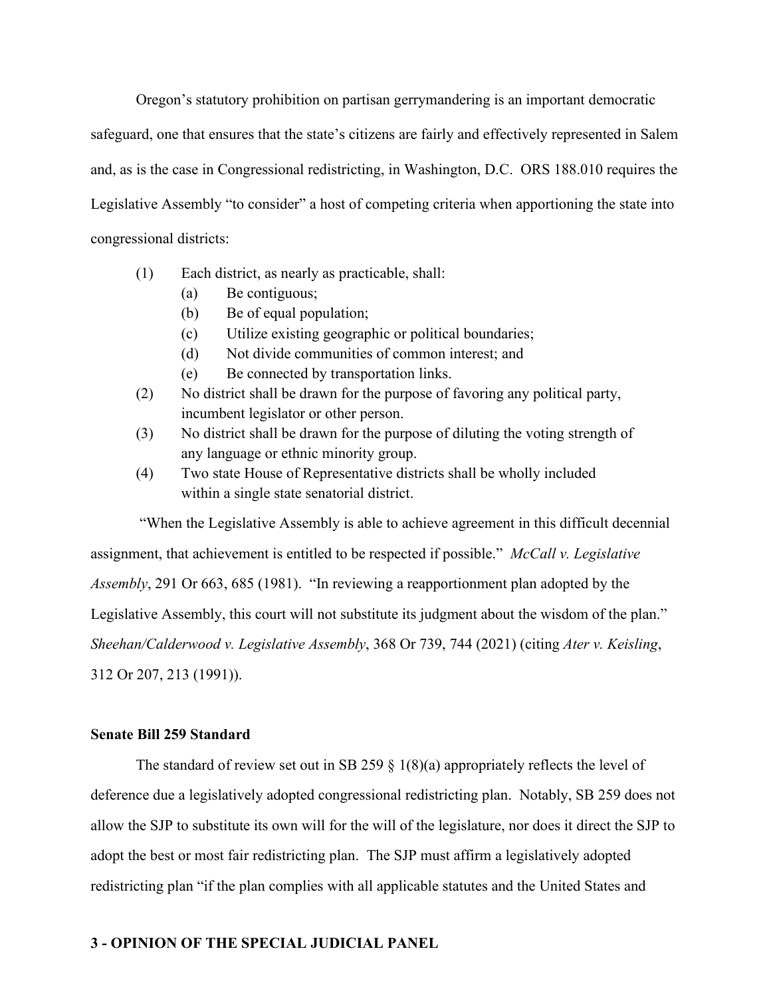Oregon's statutory prohibition on partisan gerrymandering is an important democratic safeguard, one that ensures that the state's citizens are fairly and effectively represented in Salem and, as is the case in Congressional redistricting, in Washington, D.C. ORS 188.010 requires the Legislative Assembly "to consider" a host of competing criteria when apportioning the state into congressional districts:

- (1) Each district, as nearly as practicable, shall:
	- (a) Be contiguous;
	- (b) Be of equal population;
	- (c) Utilize existing geographic or political boundaries;
	- (d) Not divide communities of common interest; and
	- (e) Be connected by transportation links.
- (2) No district shall be drawn for the purpose of favoring any political party, incumbent legislator or other person.
- (3) No district shall be drawn for the purpose of diluting the voting strength of any language or ethnic minority group.
- (4) Two state House of Representative districts shall be wholly included within a single state senatorial district.

"When the Legislative Assembly is able to achieve agreement in this difficult decennial assignment, that achievement is entitled to be respected if possible." *McCall v. Legislative Assembly*, 291 Or 663, 685 (1981). "In reviewing a reapportionment plan adopted by the Legislative Assembly, this court will not substitute its judgment about the wisdom of the plan." *Sheehan/Calderwood v. Legislative Assembly*, 368 Or 739, 744 (2021) (citing *Ater v. Keisling*, 312 Or 207, 213 (1991)).

#### **Senate Bill 259 Standard**

The standard of review set out in SB 259  $\S$  1(8)(a) appropriately reflects the level of deference due a legislatively adopted congressional redistricting plan. Notably, SB 259 does not allow the SJP to substitute its own will for the will of the legislature, nor does it direct the SJP to adopt the best or most fair redistricting plan. The SJP must affirm a legislatively adopted redistricting plan "if the plan complies with all applicable statutes and the United States and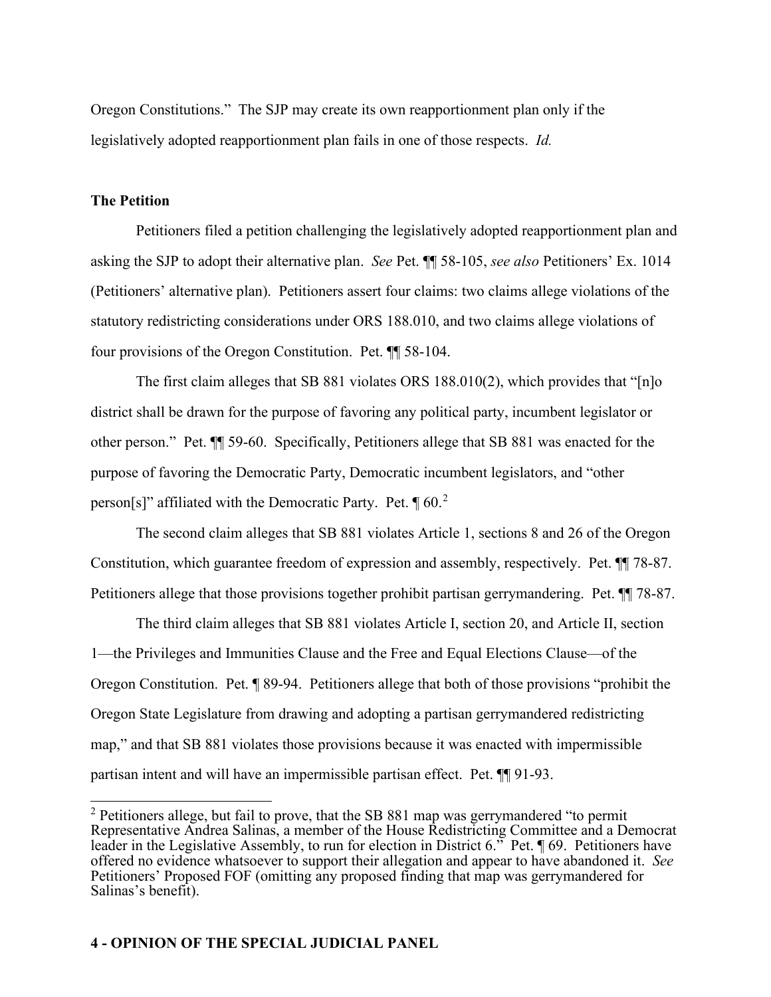Oregon Constitutions." The SJP may create its own reapportionment plan only if the legislatively adopted reapportionment plan fails in one of those respects. *Id.*

## **The Petition**

Petitioners filed a petition challenging the legislatively adopted reapportionment plan and asking the SJP to adopt their alternative plan. *See* Pet. ¶¶ 58-105, *see also* Petitioners' Ex. 1014 (Petitioners' alternative plan). Petitioners assert four claims: two claims allege violations of the statutory redistricting considerations under ORS 188.010, and two claims allege violations of four provisions of the Oregon Constitution. Pet. ¶¶ 58-104.

The first claim alleges that SB 881 violates ORS 188.010(2), which provides that " $[n]$ <sup>o</sup> district shall be drawn for the purpose of favoring any political party, incumbent legislator or other person." Pet. ¶¶ 59-60. Specifically, Petitioners allege that SB 881 was enacted for the purpose of favoring the Democratic Party, Democratic incumbent legislators, and "other person[s]" affiliated with the Democratic Party. Pet.  $\P$  60.<sup>[2](#page-3-0)</sup>

The second claim alleges that SB 881 violates Article 1, sections 8 and 26 of the Oregon Constitution, which guarantee freedom of expression and assembly, respectively. Pet. ¶¶ 78-87. Petitioners allege that those provisions together prohibit partisan gerrymandering. Pet. ¶¶ 78-87.

The third claim alleges that SB 881 violates Article I, section 20, and Article II, section 1—the Privileges and Immunities Clause and the Free and Equal Elections Clause—of the Oregon Constitution. Pet. ¶ 89-94. Petitioners allege that both of those provisions "prohibit the Oregon State Legislature from drawing and adopting a partisan gerrymandered redistricting map," and that SB 881 violates those provisions because it was enacted with impermissible partisan intent and will have an impermissible partisan effect. Pet. ¶¶ 91-93.

<span id="page-3-0"></span> $2$  Petitioners allege, but fail to prove, that the SB 881 map was gerrymandered "to permit Representative Andrea Salinas, a member of the House Redistricting Committee and a Democrat leader in the Legislative Assembly, to run for election in District 6." Pet. ¶ 69. Petitioners have offered no evidence whatsoever to support their allegation and appear to have abandoned it. *See* Petitioners' Proposed FOF (omitting any proposed finding that map was gerrymandered for Salinas's benefit).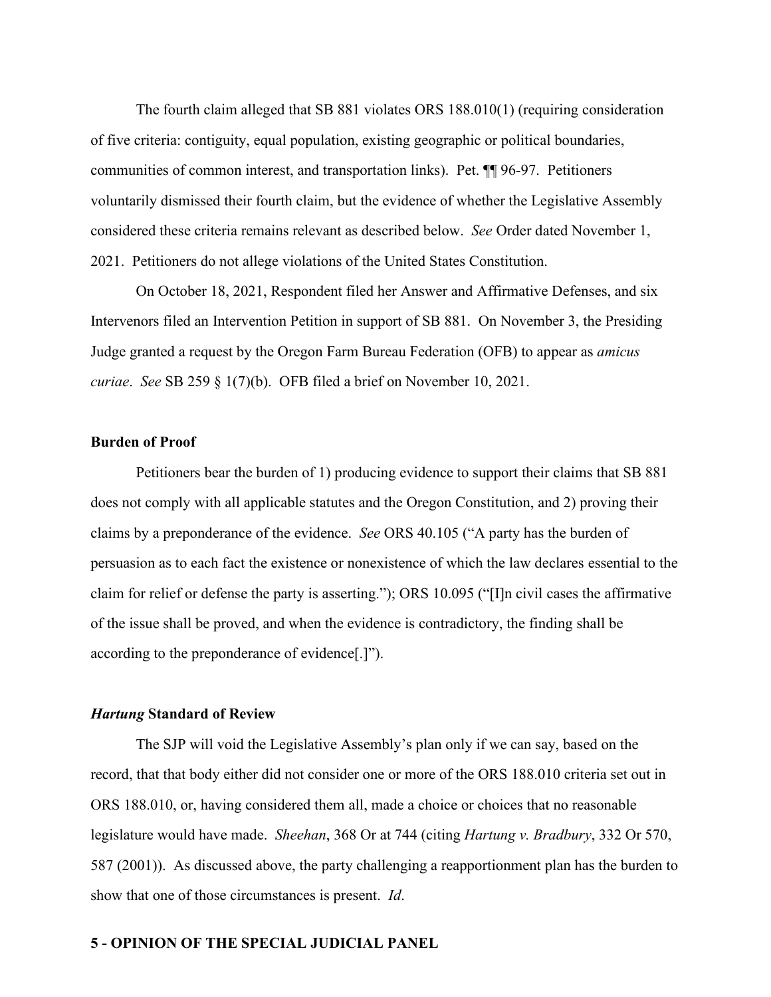The fourth claim alleged that SB 881 violates ORS 188.010(1) (requiring consideration of five criteria: contiguity, equal population, existing geographic or political boundaries, communities of common interest, and transportation links). Pet. ¶¶ 96-97. Petitioners voluntarily dismissed their fourth claim, but the evidence of whether the Legislative Assembly considered these criteria remains relevant as described below. *See* Order dated November 1, 2021. Petitioners do not allege violations of the United States Constitution.

On October 18, 2021, Respondent filed her Answer and Affirmative Defenses, and six Intervenors filed an Intervention Petition in support of SB 881. On November 3, the Presiding Judge granted a request by the Oregon Farm Bureau Federation (OFB) to appear as *amicus curiae*. *See* SB 259 § 1(7)(b). OFB filed a brief on November 10, 2021.

#### **Burden of Proof**

Petitioners bear the burden of 1) producing evidence to support their claims that SB 881 does not comply with all applicable statutes and the Oregon Constitution, and 2) proving their claims by a preponderance of the evidence. *See* ORS 40.105 ("A party has the burden of persuasion as to each fact the existence or nonexistence of which the law declares essential to the claim for relief or defense the party is asserting."); ORS 10.095 ("[I]n civil cases the affirmative of the issue shall be proved, and when the evidence is contradictory, the finding shall be according to the preponderance of evidence[.]").

#### *Hartung* **Standard of Review**

The SJP will void the Legislative Assembly's plan only if we can say, based on the record, that that body either did not consider one or more of the ORS 188.010 criteria set out in ORS 188.010, or, having considered them all, made a choice or choices that no reasonable legislature would have made. *Sheehan*, 368 Or at 744 (citing *Hartung v. Bradbury*, 332 Or 570, 587 (2001)). As discussed above, the party challenging a reapportionment plan has the burden to show that one of those circumstances is present. *Id*.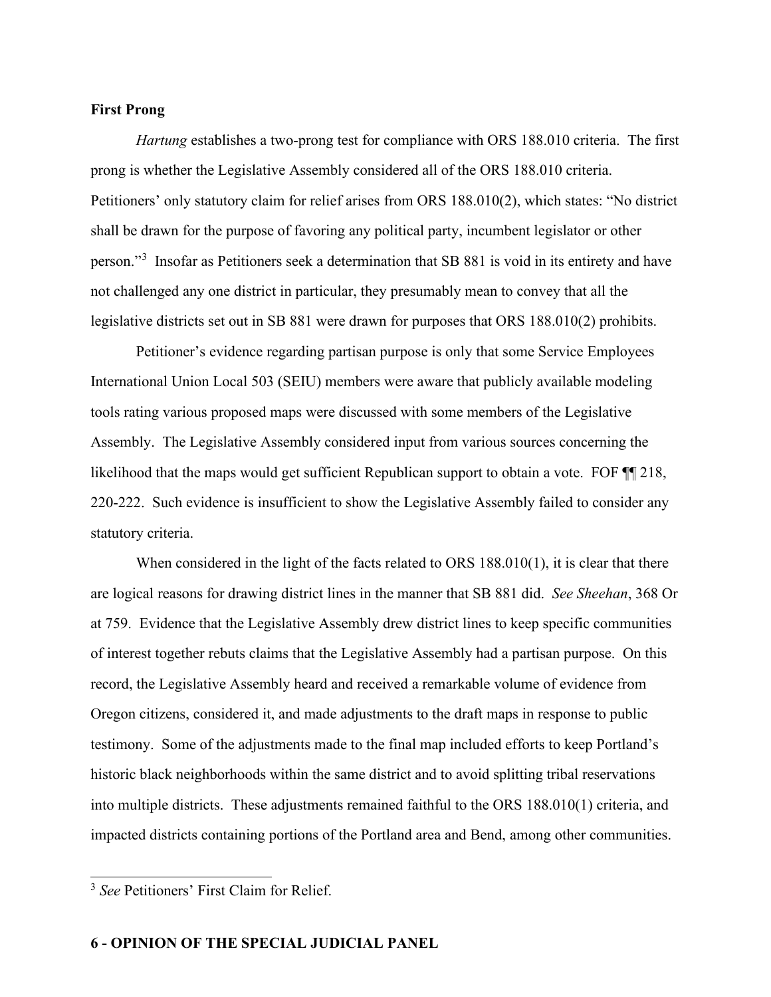#### **First Prong**

*Hartung* establishes a two-prong test for compliance with ORS 188.010 criteria. The first prong is whether the Legislative Assembly considered all of the ORS 188.010 criteria. Petitioners' only statutory claim for relief arises from ORS 188.010(2), which states: "No district shall be drawn for the purpose of favoring any political party, incumbent legislator or other person."<sup>[3](#page-5-0)</sup> Insofar as Petitioners seek a determination that SB 881 is void in its entirety and have not challenged any one district in particular, they presumably mean to convey that all the legislative districts set out in SB 881 were drawn for purposes that ORS 188.010(2) prohibits.

Petitioner's evidence regarding partisan purpose is only that some Service Employees International Union Local 503 (SEIU) members were aware that publicly available modeling tools rating various proposed maps were discussed with some members of the Legislative Assembly. The Legislative Assembly considered input from various sources concerning the likelihood that the maps would get sufficient Republican support to obtain a vote. FOF  $\P$  218, 220-222. Such evidence is insufficient to show the Legislative Assembly failed to consider any statutory criteria.

When considered in the light of the facts related to ORS 188.010(1), it is clear that there are logical reasons for drawing district lines in the manner that SB 881 did. *See Sheehan*, 368 Or at 759. Evidence that the Legislative Assembly drew district lines to keep specific communities of interest together rebuts claims that the Legislative Assembly had a partisan purpose. On this record, the Legislative Assembly heard and received a remarkable volume of evidence from Oregon citizens, considered it, and made adjustments to the draft maps in response to public testimony. Some of the adjustments made to the final map included efforts to keep Portland's historic black neighborhoods within the same district and to avoid splitting tribal reservations into multiple districts. These adjustments remained faithful to the ORS 188.010(1) criteria, and impacted districts containing portions of the Portland area and Bend, among other communities.

<span id="page-5-0"></span><sup>3</sup> *See* Petitioners' First Claim for Relief.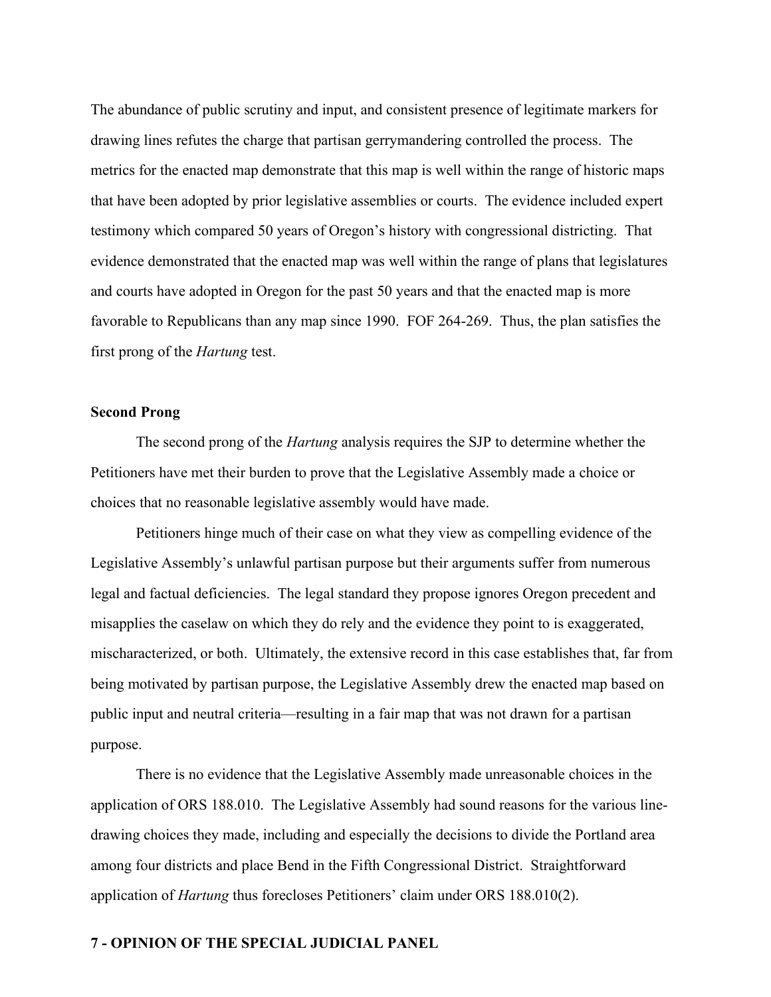The abundance of public scrutiny and input, and consistent presence of legitimate markers for drawing lines refutes the charge that partisan gerrymandering controlled the process. The metrics for the enacted map demonstrate that this map is well within the range of historic maps that have been adopted by prior legislative assemblies or courts. The evidence included expert testimony which compared 50 years of Oregon's history with congressional districting. That evidence demonstrated that the enacted map was well within the range of plans that legislatures and courts have adopted in Oregon for the past 50 years and that the enacted map is more favorable to Republicans than any map since 1990. FOF 264-269. Thus, the plan satisfies the first prong of the *Hartung* test.

#### **Second Prong**

The second prong of the *Hartung* analysis requires the SJP to determine whether the Petitioners have met their burden to prove that the Legislative Assembly made a choice or choices that no reasonable legislative assembly would have made.

Petitioners hinge much of their case on what they view as compelling evidence of the Legislative Assembly's unlawful partisan purpose but their arguments suffer from numerous legal and factual deficiencies. The legal standard they propose ignores Oregon precedent and misapplies the caselaw on which they do rely and the evidence they point to is exaggerated, mischaracterized, or both. Ultimately, the extensive record in this case establishes that, far from being motivated by partisan purpose, the Legislative Assembly drew the enacted map based on public input and neutral criteria—resulting in a fair map that was not drawn for a partisan purpose.

There is no evidence that the Legislative Assembly made unreasonable choices in the application of ORS 188.010. The Legislative Assembly had sound reasons for the various linedrawing choices they made, including and especially the decisions to divide the Portland area among four districts and place Bend in the Fifth Congressional District. Straightforward application of *Hartung* thus forecloses Petitioners' claim under ORS 188.010(2).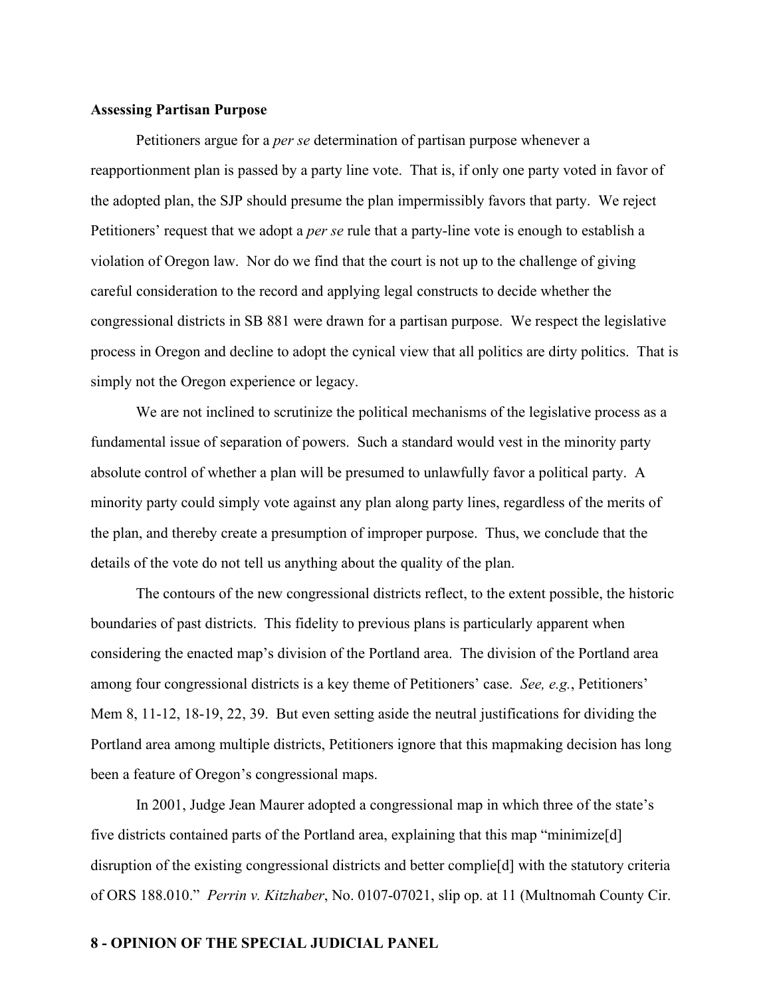#### **Assessing Partisan Purpose**

Petitioners argue for a *per se* determination of partisan purpose whenever a reapportionment plan is passed by a party line vote. That is, if only one party voted in favor of the adopted plan, the SJP should presume the plan impermissibly favors that party. We reject Petitioners' request that we adopt a *per se* rule that a party-line vote is enough to establish a violation of Oregon law. Nor do we find that the court is not up to the challenge of giving careful consideration to the record and applying legal constructs to decide whether the congressional districts in SB 881 were drawn for a partisan purpose. We respect the legislative process in Oregon and decline to adopt the cynical view that all politics are dirty politics. That is simply not the Oregon experience or legacy.

We are not inclined to scrutinize the political mechanisms of the legislative process as a fundamental issue of separation of powers. Such a standard would vest in the minority party absolute control of whether a plan will be presumed to unlawfully favor a political party. A minority party could simply vote against any plan along party lines, regardless of the merits of the plan, and thereby create a presumption of improper purpose. Thus, we conclude that the details of the vote do not tell us anything about the quality of the plan.

The contours of the new congressional districts reflect, to the extent possible, the historic boundaries of past districts. This fidelity to previous plans is particularly apparent when considering the enacted map's division of the Portland area. The division of the Portland area among four congressional districts is a key theme of Petitioners' case. *See, e.g.*, Petitioners' Mem 8, 11-12, 18-19, 22, 39. But even setting aside the neutral justifications for dividing the Portland area among multiple districts, Petitioners ignore that this mapmaking decision has long been a feature of Oregon's congressional maps.

In 2001, Judge Jean Maurer adopted a congressional map in which three of the state's five districts contained parts of the Portland area, explaining that this map "minimize[d] disruption of the existing congressional districts and better complie[d] with the statutory criteria of ORS 188.010." *Perrin v. Kitzhaber*, No. 0107-07021, slip op. at 11 (Multnomah County Cir.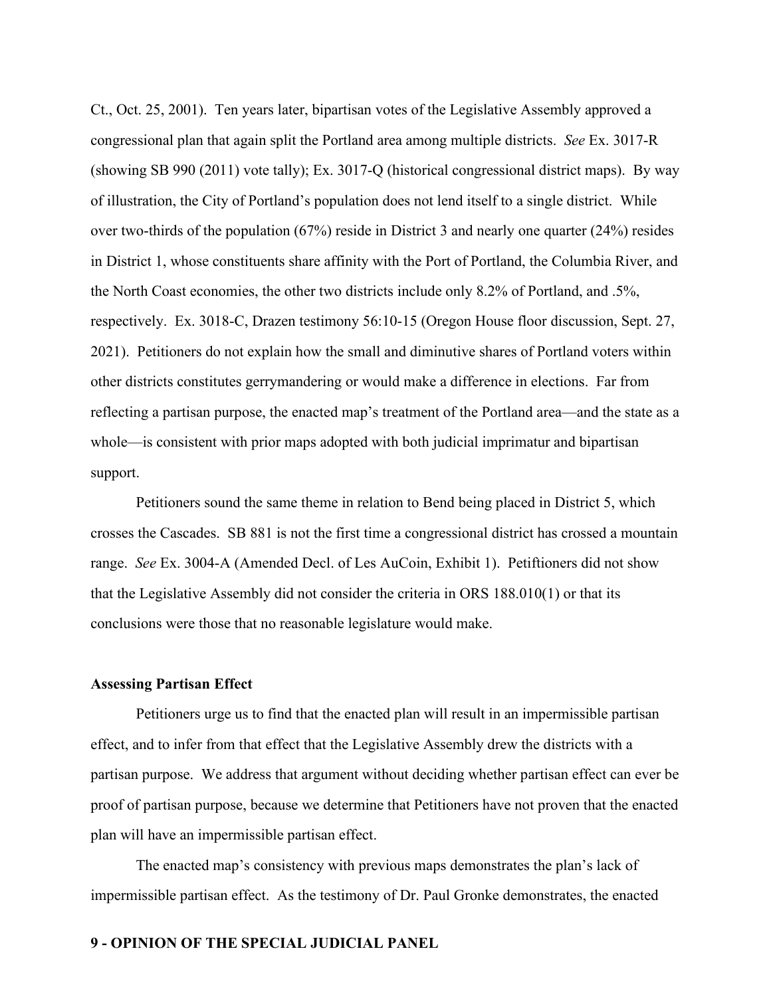Ct., Oct. 25, 2001). Ten years later, bipartisan votes of the Legislative Assembly approved a congressional plan that again split the Portland area among multiple districts. *See* Ex. 3017-R (showing SB 990 (2011) vote tally); Ex. 3017-Q (historical congressional district maps). By way of illustration, the City of Portland's population does not lend itself to a single district. While over two-thirds of the population (67%) reside in District 3 and nearly one quarter (24%) resides in District 1, whose constituents share affinity with the Port of Portland, the Columbia River, and the North Coast economies, the other two districts include only 8.2% of Portland, and .5%, respectively. Ex. 3018-C, Drazen testimony 56:10-15 (Oregon House floor discussion, Sept. 27, 2021). Petitioners do not explain how the small and diminutive shares of Portland voters within other districts constitutes gerrymandering or would make a difference in elections. Far from reflecting a partisan purpose, the enacted map's treatment of the Portland area—and the state as a whole—is consistent with prior maps adopted with both judicial imprimatur and bipartisan support.

Petitioners sound the same theme in relation to Bend being placed in District 5, which crosses the Cascades. SB 881 is not the first time a congressional district has crossed a mountain range. *See* Ex. 3004-A (Amended Decl. of Les AuCoin, Exhibit 1). Petiftioners did not show that the Legislative Assembly did not consider the criteria in ORS 188.010(1) or that its conclusions were those that no reasonable legislature would make.

#### **Assessing Partisan Effect**

Petitioners urge us to find that the enacted plan will result in an impermissible partisan effect, and to infer from that effect that the Legislative Assembly drew the districts with a partisan purpose. We address that argument without deciding whether partisan effect can ever be proof of partisan purpose, because we determine that Petitioners have not proven that the enacted plan will have an impermissible partisan effect.

The enacted map's consistency with previous maps demonstrates the plan's lack of impermissible partisan effect. As the testimony of Dr. Paul Gronke demonstrates, the enacted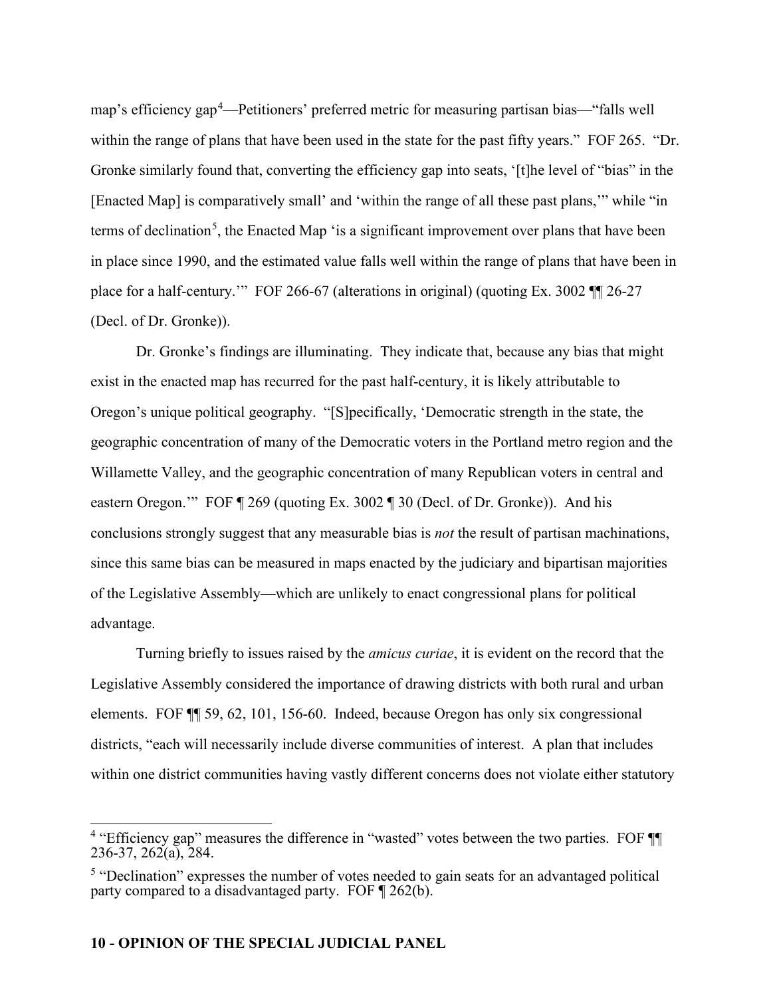map's efficiency gap[4](#page-9-0) —Petitioners' preferred metric for measuring partisan bias—"falls well within the range of plans that have been used in the state for the past fifty years." FOF 265. "Dr. Gronke similarly found that, converting the efficiency gap into seats, '[t]he level of "bias" in the [Enacted Map] is comparatively small' and 'within the range of all these past plans," while "in terms of declination<sup>[5](#page-9-1)</sup>, the Enacted Map 'is a significant improvement over plans that have been in place since 1990, and the estimated value falls well within the range of plans that have been in place for a half-century.'" FOF 266-67 (alterations in original) (quoting Ex. 3002 ¶¶ 26-27 (Decl. of Dr. Gronke)).

Dr. Gronke's findings are illuminating. They indicate that, because any bias that might exist in the enacted map has recurred for the past half-century, it is likely attributable to Oregon's unique political geography. "[S]pecifically, 'Democratic strength in the state, the geographic concentration of many of the Democratic voters in the Portland metro region and the Willamette Valley, and the geographic concentration of many Republican voters in central and eastern Oregon.'" FOF ¶ 269 (quoting Ex. 3002 ¶ 30 (Decl. of Dr. Gronke)). And his conclusions strongly suggest that any measurable bias is *not* the result of partisan machinations, since this same bias can be measured in maps enacted by the judiciary and bipartisan majorities of the Legislative Assembly—which are unlikely to enact congressional plans for political advantage.

Turning briefly to issues raised by the *amicus curiae*, it is evident on the record that the Legislative Assembly considered the importance of drawing districts with both rural and urban elements. FOF ¶¶ 59, 62, 101, 156-60. Indeed, because Oregon has only six congressional districts, "each will necessarily include diverse communities of interest. A plan that includes within one district communities having vastly different concerns does not violate either statutory

<span id="page-9-0"></span><sup>&</sup>lt;sup>4</sup> "Efficiency gap" measures the difference in "wasted" votes between the two parties. FOF  $\P$ 236-37, 262(a), 284.

<span id="page-9-1"></span> $<sup>5</sup>$  "Declination" expresses the number of votes needed to gain seats for an advantaged political</sup> party compared to a disadvantaged party. FOF ¶ 262(b).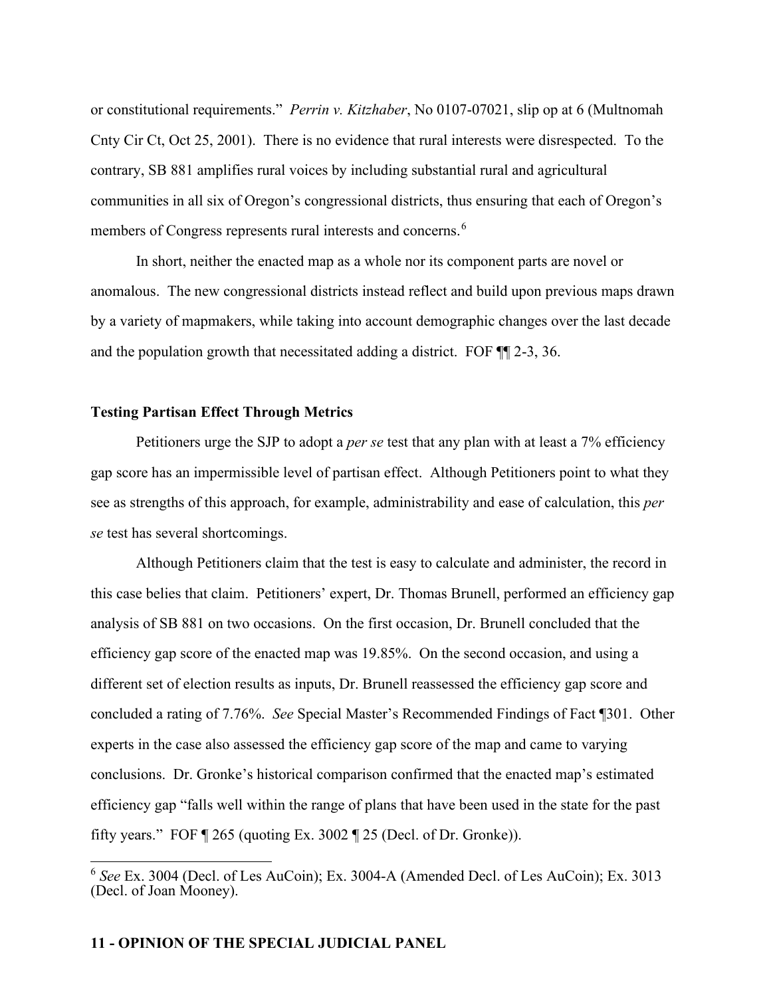or constitutional requirements." *Perrin v. Kitzhaber*, No 0107-07021, slip op at 6 (Multnomah Cnty Cir Ct, Oct 25, 2001). There is no evidence that rural interests were disrespected. To the contrary, SB 881 amplifies rural voices by including substantial rural and agricultural communities in all six of Oregon's congressional districts, thus ensuring that each of Oregon's members of Congress represents rural interests and concerns.<sup>[6](#page-10-0)</sup>

In short, neither the enacted map as a whole nor its component parts are novel or anomalous. The new congressional districts instead reflect and build upon previous maps drawn by a variety of mapmakers, while taking into account demographic changes over the last decade and the population growth that necessitated adding a district. FOF ¶¶ 2-3, 36.

## **Testing Partisan Effect Through Metrics**

Petitioners urge the SJP to adopt a *per se* test that any plan with at least a 7% efficiency gap score has an impermissible level of partisan effect. Although Petitioners point to what they see as strengths of this approach, for example, administrability and ease of calculation, this *per se* test has several shortcomings.

Although Petitioners claim that the test is easy to calculate and administer, the record in this case belies that claim. Petitioners' expert, Dr. Thomas Brunell, performed an efficiency gap analysis of SB 881 on two occasions. On the first occasion, Dr. Brunell concluded that the efficiency gap score of the enacted map was 19.85%. On the second occasion, and using a different set of election results as inputs, Dr. Brunell reassessed the efficiency gap score and concluded a rating of 7.76%. *See* Special Master's Recommended Findings of Fact ¶301. Other experts in the case also assessed the efficiency gap score of the map and came to varying conclusions. Dr. Gronke's historical comparison confirmed that the enacted map's estimated efficiency gap "falls well within the range of plans that have been used in the state for the past fifty years." FOF ¶ 265 (quoting Ex. 3002 ¶ 25 (Decl. of Dr. Gronke)).

<span id="page-10-0"></span><sup>6</sup> *See* Ex. 3004 (Decl. of Les AuCoin); Ex. 3004-A (Amended Decl. of Les AuCoin); Ex. 3013 (Decl. of Joan Mooney).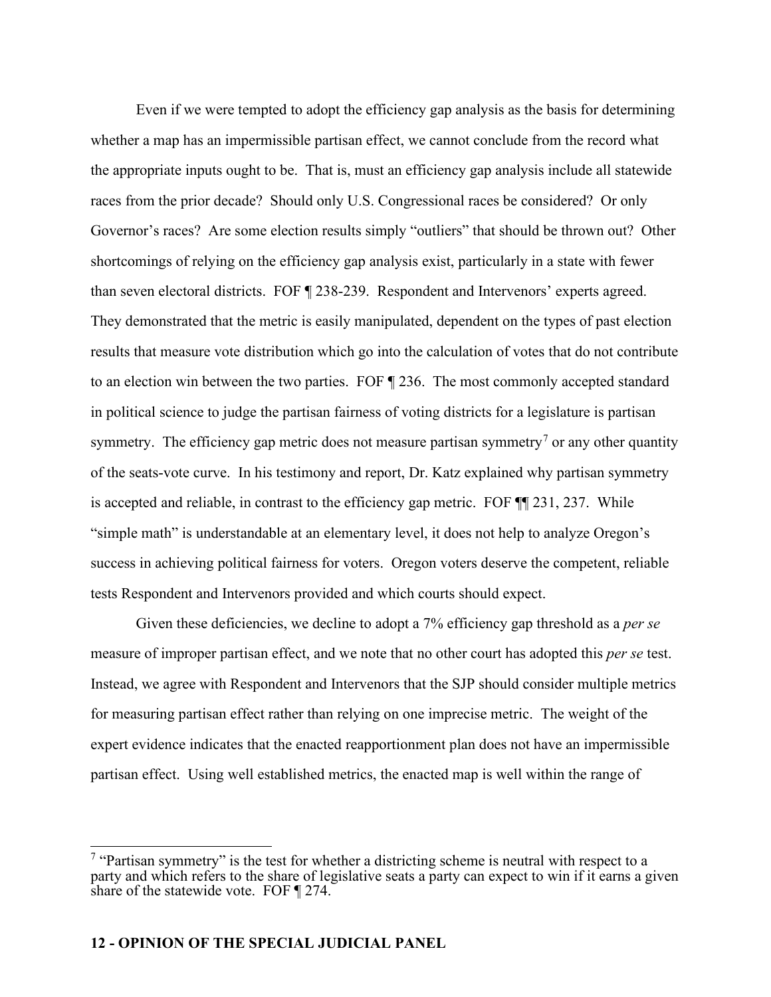Even if we were tempted to adopt the efficiency gap analysis as the basis for determining whether a map has an impermissible partisan effect, we cannot conclude from the record what the appropriate inputs ought to be. That is, must an efficiency gap analysis include all statewide races from the prior decade? Should only U.S. Congressional races be considered? Or only Governor's races? Are some election results simply "outliers" that should be thrown out? Other shortcomings of relying on the efficiency gap analysis exist, particularly in a state with fewer than seven electoral districts. FOF ¶ 238-239. Respondent and Intervenors' experts agreed. They demonstrated that the metric is easily manipulated, dependent on the types of past election results that measure vote distribution which go into the calculation of votes that do not contribute to an election win between the two parties. FOF ¶ 236. The most commonly accepted standard in political science to judge the partisan fairness of voting districts for a legislature is partisan symmetry. The efficiency gap metric does not measure partisan symmetry<sup>[7](#page-11-0)</sup> or any other quantity of the seats-vote curve. In his testimony and report, Dr. Katz explained why partisan symmetry is accepted and reliable, in contrast to the efficiency gap metric. FOF ¶¶ 231, 237. While "simple math" is understandable at an elementary level, it does not help to analyze Oregon's success in achieving political fairness for voters. Oregon voters deserve the competent, reliable tests Respondent and Intervenors provided and which courts should expect.

Given these deficiencies, we decline to adopt a 7% efficiency gap threshold as a *per se* measure of improper partisan effect, and we note that no other court has adopted this *per se* test. Instead, we agree with Respondent and Intervenors that the SJP should consider multiple metrics for measuring partisan effect rather than relying on one imprecise metric. The weight of the expert evidence indicates that the enacted reapportionment plan does not have an impermissible partisan effect. Using well established metrics, the enacted map is well within the range of

<span id="page-11-0"></span> $7$  "Partisan symmetry" is the test for whether a districting scheme is neutral with respect to a party and which refers to the share of legislative seats a party can expect to win if it earns a given share of the statewide vote. FOF ¶ 274.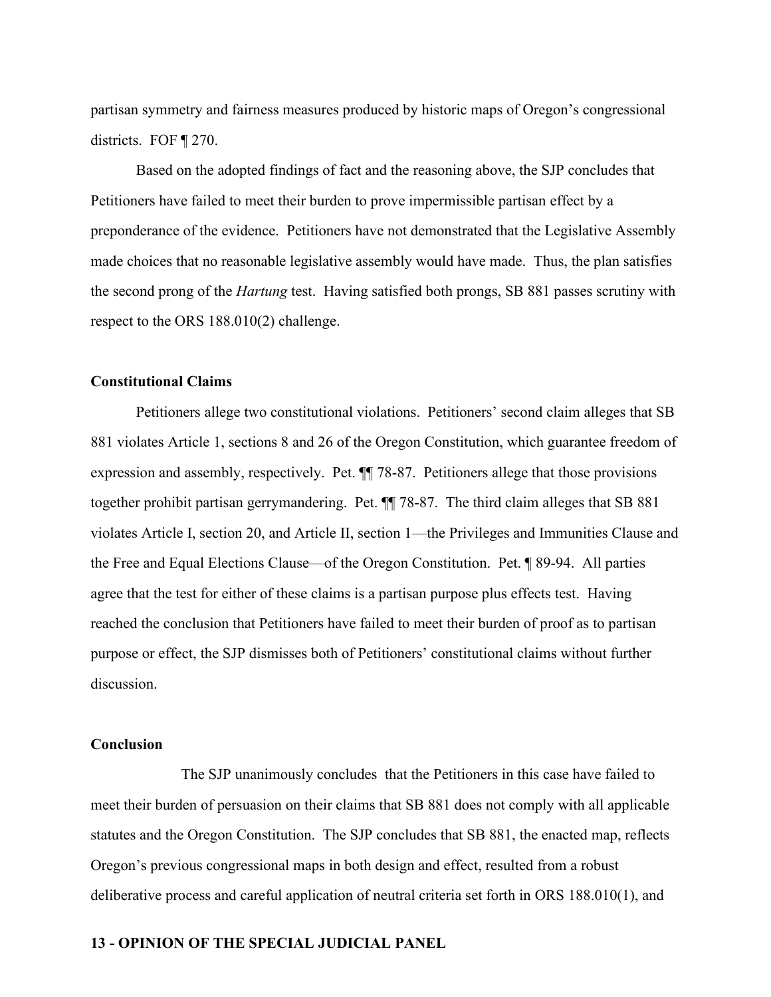partisan symmetry and fairness measures produced by historic maps of Oregon's congressional districts. FOF ¶ 270.

Based on the adopted findings of fact and the reasoning above, the SJP concludes that Petitioners have failed to meet their burden to prove impermissible partisan effect by a preponderance of the evidence. Petitioners have not demonstrated that the Legislative Assembly made choices that no reasonable legislative assembly would have made. Thus, the plan satisfies the second prong of the *Hartung* test. Having satisfied both prongs, SB 881 passes scrutiny with respect to the ORS 188.010(2) challenge.

#### **Constitutional Claims**

Petitioners allege two constitutional violations. Petitioners' second claim alleges that SB 881 violates Article 1, sections 8 and 26 of the Oregon Constitution, which guarantee freedom of expression and assembly, respectively. Pet. ¶¶ 78-87. Petitioners allege that those provisions together prohibit partisan gerrymandering. Pet. ¶¶ 78-87. The third claim alleges that SB 881 violates Article I, section 20, and Article II, section 1—the Privileges and Immunities Clause and the Free and Equal Elections Clause—of the Oregon Constitution. Pet. ¶ 89-94. All parties agree that the test for either of these claims is a partisan purpose plus effects test. Having reached the conclusion that Petitioners have failed to meet their burden of proof as to partisan purpose or effect, the SJP dismisses both of Petitioners' constitutional claims without further discussion.

#### **Conclusion**

The SJP unanimously concludes that the Petitioners in this case have failed to meet their burden of persuasion on their claims that SB 881 does not comply with all applicable statutes and the Oregon Constitution. The SJP concludes that SB 881, the enacted map, reflects Oregon's previous congressional maps in both design and effect, resulted from a robust deliberative process and careful application of neutral criteria set forth in ORS 188.010(1), and